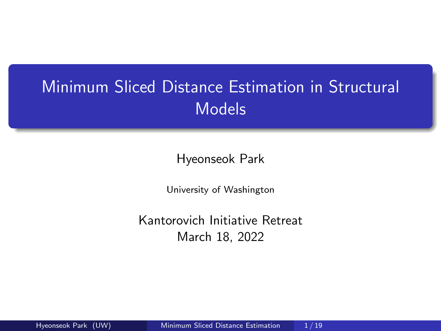# <span id="page-0-0"></span>Minimum Sliced Distance Estimation in Structural Models

Hyeonseok Park

University of Washington

Kantorovich Initiative Retreat March 18, 2022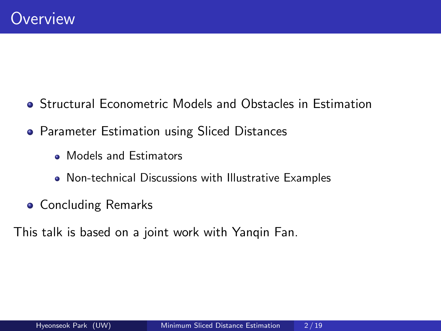- Structural Econometric Models and Obstacles in Estimation
- **Parameter Estimation using Sliced Distances** 
	- Models and Estimators
	- Non-technical Discussions with Illustrative Examples
- **Concluding Remarks**

This talk is based on a joint work with Yanqin Fan.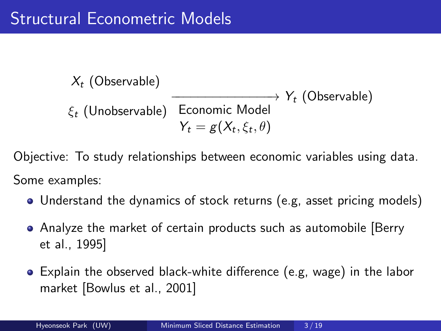$X_t$  (Observable)  $\xi_t$  (Unobservable)  $\;$  Economic Model −−−−−−−−−−−−−−→  $Y_t = g(X_t, \xi_t, \theta)$  $\rightarrow$  Y<sub>t</sub> (Observable)

Objective: To study relationships between economic variables using data. Some examples:

- Understand the dynamics of stock returns (e.g, asset pricing models)
- Analyze the market of certain products such as automobile [\[Berry](#page-19-0) [et al., 1995\]](#page-19-0)
- Explain the observed black-white difference (e.g, wage) in the labor market [\[Bowlus et al., 2001\]](#page-20-0)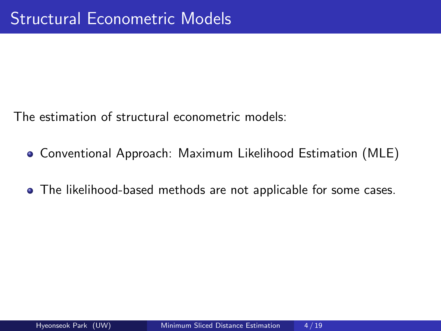The estimation of structural econometric models:

- Conventional Approach: Maximum Likelihood Estimation (MLE)
- The likelihood-based methods are not applicable for some cases.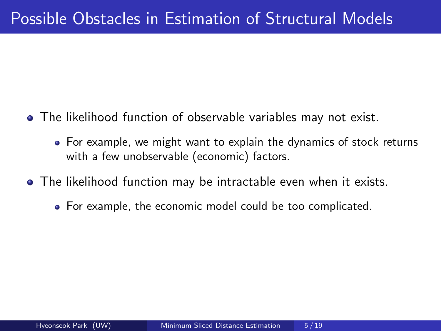- The likelihood function of observable variables may not exist.
	- For example, we might want to explain the dynamics of stock returns with a few unobservable (economic) factors.
- The likelihood function may be intractable even when it exists.
	- For example, the economic model could be too complicated.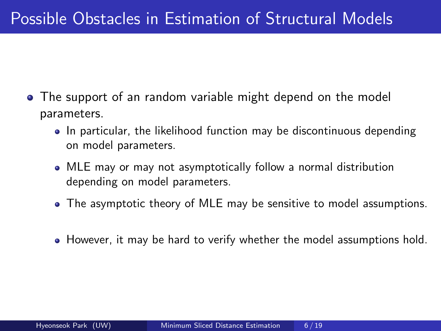- The support of an random variable might depend on the model parameters.
	- In particular, the likelihood function may be discontinuous depending on model parameters.
	- MLE may or may not asymptotically follow a normal distribution depending on model parameters.
	- The asymptotic theory of MLE may be sensitive to model assumptions.
	- However, it may be hard to verify whether the model assumptions hold.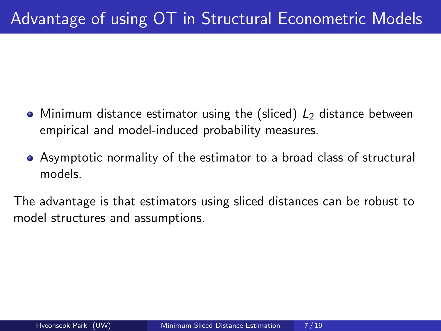- Minimum distance estimator using the (sliced)  $L<sub>2</sub>$  distance between empirical and model-induced probability measures.
- Asymptotic normality of the estimator to a broad class of structural models.

The advantage is that estimators using sliced distances can be robust to model structures and assumptions.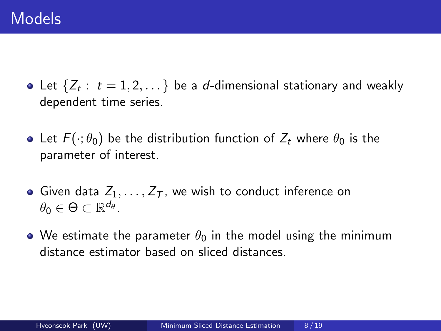- Let  $\{Z_t:~t=1,2,\dots\}$  be a  $d$ -dimensional stationary and weakly dependent time series.
- Let  $F(\cdot;\theta_0)$  be the distribution function of  $Z_t$  where  $\theta_0$  is the parameter of interest.
- Given data  $Z_1, \ldots, Z_{\mathcal{T}}$ , we wish to conduct inference on  $\theta_0 \in \Theta \subset \mathbb{R}^{d_{\theta}}$ .
- We estimate the parameter  $\theta_0$  in the model using the minimum distance estimator based on sliced distances.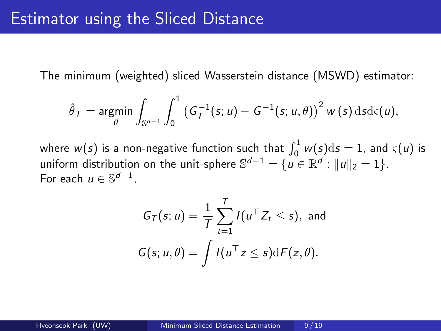The minimum (weighted) sliced Wasserstein distance (MSWD) estimator:

$$
\hat{\theta}_{\mathcal{T}} = \underset{\theta}{\text{argmin}} \int_{\mathbb{S}^{d-1}} \int_0^1 \left( G_{\mathcal{T}}^{-1}(s; u) - G^{-1}(s; u, \theta) \right)^2 w(s) \, \mathrm{d} s \mathrm{d} \varsigma(u),
$$

where  $w(s)$  is a non-negative function such that  $\int_0^1 w(s)\mathrm{d}s = 1$ , and  $\varsigma(u)$  is uniform distribution on the unit-sphere  $\mathbb{S}^{d-1}=\{u\in\mathbb{R}^d:\|u\|_2=1\}.$ For each  $u \in \mathbb{S}^{d-1}$ ,

$$
G_T(s; u) = \frac{1}{T} \sum_{t=1}^T I(u^\top Z_t \leq s), \text{ and}
$$
  

$$
G(s; u, \theta) = \int I(u^\top z \leq s) dF(z, \theta).
$$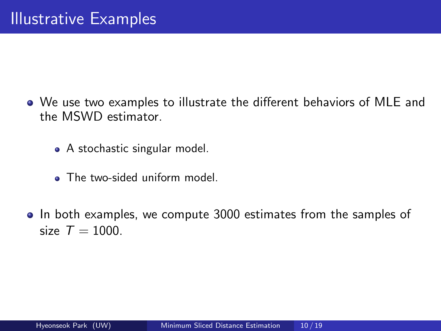- We use two examples to illustrate the different behaviors of MLE and the MSWD estimator.
	- A stochastic singular model.
	- The two-sided uniform model.
- In both examples, we compute 3000 estimates from the samples of size  $T = 1000$ .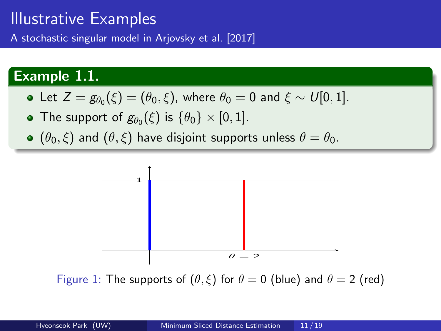### Illustrative Examples

A stochastic singular model in [Arjovsky et al. \[2017\]](#page-19-1)

#### Example 1.1.

• Let 
$$
Z = g_{\theta_0}(\xi) = (\theta_0, \xi)
$$
, where  $\theta_0 = 0$  and  $\xi \sim U[0, 1]$ .

- The support of  $g_{\theta_0}(\xi)$  is  $\{\theta_0\}\times[0,1].$
- $(\theta_0, \xi)$  and  $(\theta, \xi)$  have disjoint supports unless  $\theta = \theta_0$ .



Figure 1: The supports of  $(\theta, \xi)$  for  $\theta = 0$  (blue) and  $\theta = 2$  (red)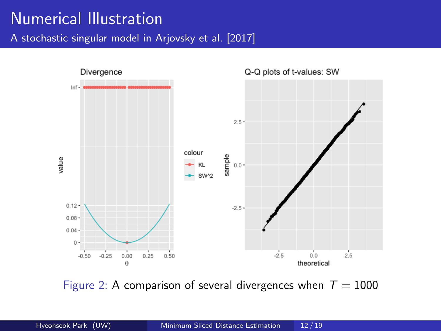### Numerical Illustration

A stochastic singular model in [Arjovsky et al. \[2017\]](#page-19-1)



Figure 2: A comparison of several divergences when  $T = 1000$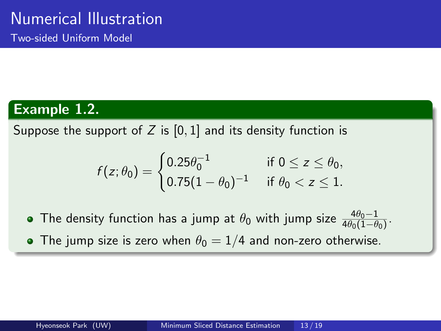Two-sided Uniform Model

#### Example 1.2.

Suppose the support of Z is  $[0, 1]$  and its density function is

$$
f(z; \theta_0) = \begin{cases} 0.25 \theta_0^{-1} & \text{if } 0 \le z \le \theta_0, \\ 0.75(1 - \theta_0)^{-1} & \text{if } \theta_0 < z \le 1. \end{cases}
$$

- The density function has a jump at  $\theta_0$  with jump size  $\frac{4\theta_0-1}{4\theta_0(1-\theta_0)}$ .
- The jump size is zero when  $\theta_0 = 1/4$  and non-zero otherwise.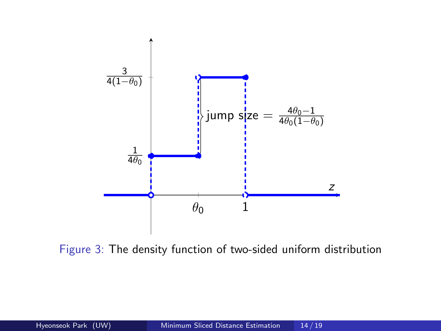

Figure 3: The density function of two-sided uniform distribution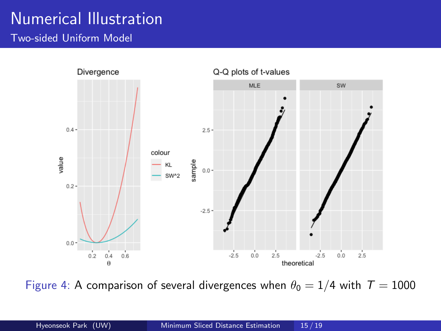# Numerical Illustration

Two-sided Uniform Model



Figure 4: A comparison of several divergences when  $\theta_0 = 1/4$  with  $T = 1000$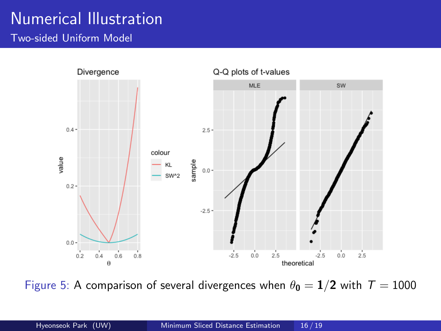# Numerical Illustration

Two-sided Uniform Model



Figure 5: A comparison of several divergences when  $\theta_0 = 1/2$  with  $T = 1000$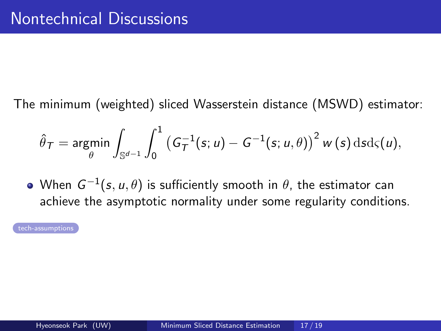<span id="page-16-0"></span>The minimum (weighted) sliced Wasserstein distance (MSWD) estimator:

$$
\hat{\theta}_{\mathcal{T}} = \mathop{\rm argmin}_{\theta} \int_{\mathbb{S}^{d-1}} \int_0^1 \left( G_{\mathcal{T}}^{-1}(s; u) - G^{-1}(s; u, \theta) \right)^2 w(s) \, \mathrm{d} s \mathrm{d} \varsigma(u),
$$

When  $\,G^{-1}(s,u,\theta)$  is sufficiently smooth in  $\theta$ , the estimator can achieve the asymptotic normality under some regularity conditions.

[tech-assumptions](#page-22-0)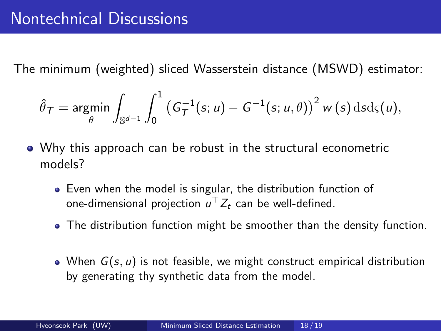The minimum (weighted) sliced Wasserstein distance (MSWD) estimator:

$$
\hat{\theta}_{\mathcal{T}} = \underset{\theta}{\text{argmin}} \int_{\mathbb{S}^{d-1}} \int_0^1 \left( G_{\mathcal{T}}^{-1}(s; u) - G^{-1}(s; u, \theta) \right)^2 w(s) \, \mathrm{d} s \mathrm{d} \varsigma(u),
$$

- Why this approach can be robust in the structural econometric models?
	- Even when the model is singular, the distribution function of one-dimensional projection  $u^\top Z_t$  can be well-defined.
	- The distribution function might be smoother than the density function.
	- When  $G(s, u)$  is not feasible, we might construct empirical distribution by generating thy synthetic data from the model.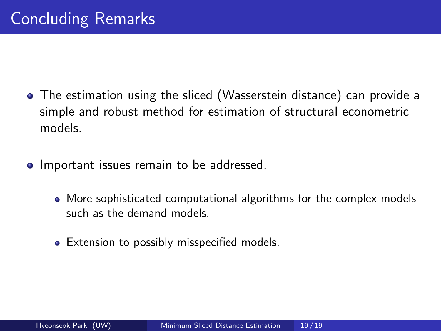- <span id="page-18-0"></span>The estimation using the sliced (Wasserstein distance) can provide a simple and robust method for estimation of structural econometric models.
- **•** Important issues remain to be addressed.
	- More sophisticated computational algorithms for the complex models such as the demand models.
	- Extension to possibly misspecified models.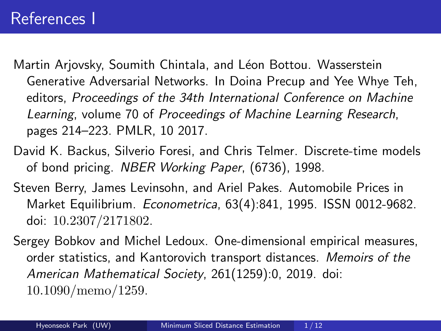<span id="page-19-1"></span>Martin Arjovsky, Soumith Chintala, and Léon Bottou. Wasserstein Generative Adversarial Networks. In Doina Precup and Yee Whye Teh, editors, Proceedings of the 34th International Conference on Machine Learning, volume 70 of Proceedings of Machine Learning Research, pages 214–223. PMLR, 10 2017.

- David K. Backus, Silverio Foresi, and Chris Telmer. Discrete-time models of bond pricing. NBER Working Paper, (6736), 1998.
- <span id="page-19-0"></span>Steven Berry, James Levinsohn, and Ariel Pakes. Automobile Prices in Market Equilibrium. Econometrica, 63(4):841, 1995. ISSN 0012-9682. doi: 10.2307/2171802.
- Sergey Bobkov and Michel Ledoux. One-dimensional empirical measures, order statistics, and Kantorovich transport distances. Memoirs of the American Mathematical Society, 261(1259):0, 2019. doi: 10.1090/memo/1259.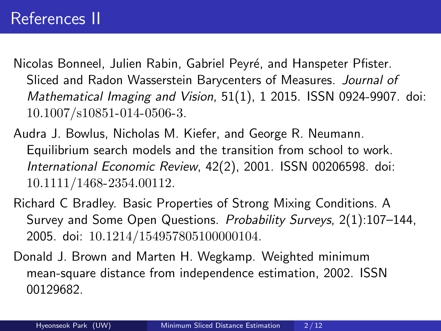Nicolas Bonneel, Julien Rabin, Gabriel Peyré, and Hanspeter Pfister. Sliced and Radon Wasserstein Barycenters of Measures. Journal of Mathematical Imaging and Vision, 51(1), 1 2015. ISSN 0924-9907. doi: 10.1007/s10851-014-0506-3.

- <span id="page-20-0"></span>Audra J. Bowlus, Nicholas M. Kiefer, and George R. Neumann. Equilibrium search models and the transition from school to work. International Economic Review, 42(2), 2001. ISSN 00206598. doi: 10.1111/1468-2354.00112.
- Richard C Bradley. Basic Properties of Strong Mixing Conditions. A Survey and Some Open Questions. Probability Surveys, 2(1):107–144, 2005. doi: 10.1214/154957805100000104.
- Donald J. Brown and Marten H. Wegkamp. Weighted minimum mean-square distance from independence estimation, 2002. ISSN 00129682.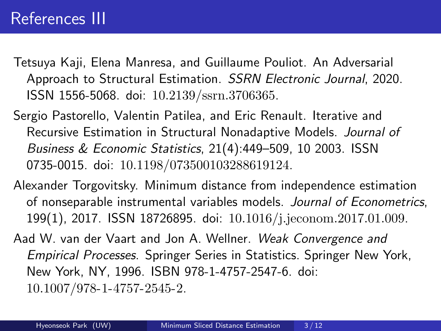- Tetsuya Kaji, Elena Manresa, and Guillaume Pouliot. An Adversarial Approach to Structural Estimation. SSRN Electronic Journal, 2020. ISSN 1556-5068. doi: 10.2139/ssrn.3706365.
- Sergio Pastorello, Valentin Patilea, and Eric Renault. Iterative and Recursive Estimation in Structural Nonadaptive Models. Journal of Business & Economic Statistics, 21(4):449–509, 10 2003. ISSN 0735-0015. doi: 10.1198/073500103288619124.
- Alexander Torgovitsky. Minimum distance from independence estimation of nonseparable instrumental variables models. Journal of Econometrics, 199(1), 2017. ISSN 18726895. doi: 10.1016/j.jeconom.2017.01.009.
- Aad W. van der Vaart and Jon A. Wellner. Weak Convergence and Empirical Processes. Springer Series in Statistics. Springer New York, New York, NY, 1996. ISBN 978-1-4757-2547-6. doi: 10.1007/978-1-4757-2545-2.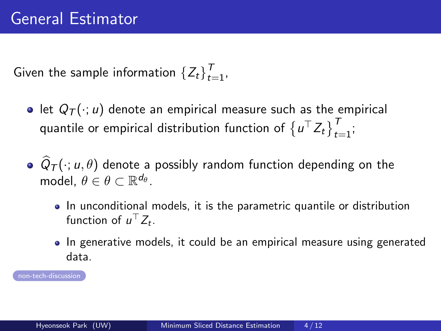<span id="page-22-0"></span>Given the sample information  $\{Z_t\}_{t=1}^T$ ,

- let  $Q_T(\cdot; u)$  denote an empirical measure such as the empirical quantile or empirical distribution function of  $\left\{u^{\top} Z_t\right\}_{t=1}^T$ ;
- $Q_{\mathcal{T}}(\cdot; u, \theta)$  denote a possibly random function depending on the model,  $\theta \in \theta \subset \mathbb{R}^{d_{\theta}}$ .
	- In unconditional models, it is the parametric quantile or distribution function of  $u^{\top} Z_t$ .
	- In generative models, it could be an empirical measure using generated data.

[non-tech-discussion](#page-16-0)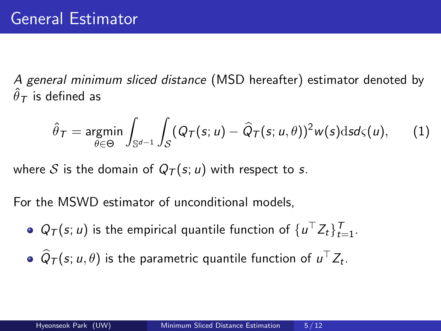A general minimum sliced distance (MSD hereafter) estimator denoted by  $\hat{\theta}_\mathcal{T}$  is defined as

$$
\hat{\theta}_{\mathcal{T}} = \underset{\theta \in \Theta}{\text{argmin}} \int_{\mathbb{S}^{d-1}} \int_{\mathcal{S}} (\mathcal{Q}_{\mathcal{T}}(s; u) - \widehat{\mathcal{Q}}_{\mathcal{T}}(s; u, \theta))^2 w(s) \mathrm{d} s \mathrm{d} \varsigma(u), \qquad (1)
$$

where S is the domain of  $Q_T(s; u)$  with respect to s.

For the MSWD estimator of unconditional models,

- $Q_{\mathcal{T}}(s; u)$  is the empirical quantile function of  $\{u^{\top} Z_t\}_{t=1}^{\mathcal{T}}$ .
- $\widehat{Q}_{\mathcal{T}}(s; u, \theta)$  is the parametric quantile function of  $u^{\top} Z_t$ .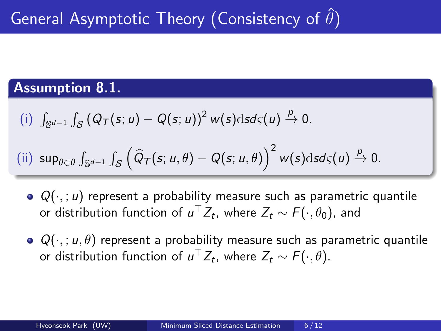#### Assumption 8.1.

<span id="page-24-0"></span>(i) 
$$
\int_{\mathbb{S}^{d-1}} \int_{\mathcal{S}} (Q_{\mathcal{T}}(s; u) - Q(s; u))^2 w(s) \, \mathrm{d} s \, \mathrm{d} s(u) \xrightarrow{\rho} 0.
$$

(ii) 
$$
\sup_{\theta \in \theta} \int_{\mathbb{S}^{d-1}} \int_{\mathcal{S}} \left( \widehat{Q}_{\mathcal{T}}(s; u, \theta) - Q(s; u, \theta) \right)^2 w(s) ds d\varsigma(u) \xrightarrow{p} 0.
$$

- $\bullet$   $Q(\cdot, u)$  represent a probability measure such as parametric quantile or distribution function of  $u^\top Z_t$ , where  $Z_t \sim \digamma(\cdot,\theta_0)$ , and
- $\bullet$   $Q(\cdot, u, \theta)$  represent a probability measure such as parametric quantile or distribution function of  $u^\top Z_t$ , where  $Z_t \sim \mathcal{F}(\cdot,\theta).$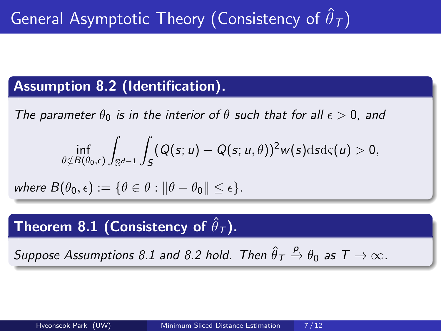#### Assumption 8.2 (Identification).

<span id="page-25-0"></span>The parameter  $\theta_0$  is in the interior of  $\theta$  such that for all  $\epsilon > 0$ , and

$$
\inf_{\theta\notin B(\theta_0,\epsilon)}\int_{\mathbb{S}^{d-1}}\int_{S}(Q(s;u)-Q(s;u,\theta))^2w(s)\mathrm{d} s\mathrm{d} \varsigma(u)>0,
$$

where  $B(\theta_0, \epsilon) := \{\theta \in \theta : \|\theta - \theta_0\| \leq \epsilon\}.$ 

### Theorem 8.1 (Consistency of  $\hat{\theta}_{\tau}$ ).

Suppose Assumptions [8.1](#page-24-0) and [8.2](#page-25-0) hold. Then  $\hat{\theta}_{\text{\emph{T}}}$  $\stackrel{p}{\rightarrow} \theta_0$  as  $T \rightarrow \infty$ .

Kantorovich Initiative Retreat March 18, 2022

7 / 12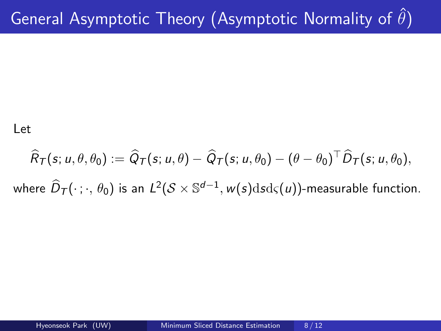Let

$$
\widehat{R}_T(s; u, \theta, \theta_0) := \widehat{Q}_T(s; u, \theta) - \widehat{Q}_T(s; u, \theta_0) - (\theta - \theta_0)^{\top} \widehat{D}_T(s; u, \theta_0),
$$
  
where  $\widehat{D}_T(\cdot; \cdot, \theta_0)$  is an  $L^2(\mathcal{S} \times \mathbb{S}^{d-1}, w(s)dsd_S(u))$ -measurable function.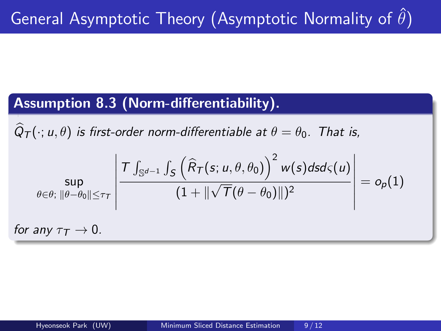#### Assumption 8.3 (Norm-differentiability).

 $Q_{\mathcal{T}}(\cdot; u, \theta)$  is first-order norm-differentiable at  $\theta = \theta_0$ . That is,

$$
\sup_{\theta \in \theta: \ \|\theta - \theta_0\| \le \tau_{\mathcal{T}}} \left| \frac{\mathcal{T} \int_{\mathbb{S}^{d-1}} \int_{\mathcal{S}} \left( \widehat{R}_{\mathcal{T}}(s; u, \theta, \theta_0) \right)^2 w(s) ds d\varsigma(u)}{(1 + \|\sqrt{T}(\theta - \theta_0)\|)^2} \right| = o_p(1)
$$
\nfor any  $\tau_{\mathcal{T}} \to 0$ .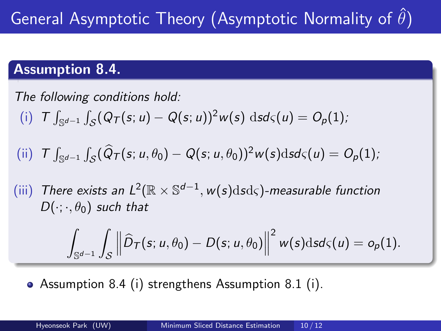#### Assumption 8.4.

<span id="page-28-0"></span>The following conditions hold: (i)  $T \int_{\mathbb{S}^{d-1}} \int_{\mathcal{S}} (Q_{\mathcal{T}}(s; u) - Q(s; u))^2 w(s) \, ds d\varsigma(u) = O_p(1);$ (ii)  $T \int_{\mathbb{S}^{d-1}} \int_{\mathcal{S}} (\widehat{Q}_T(s; u, \theta_0) - Q(s; u, \theta_0))^2 w(s) ds d\varsigma(u) = O_p(1);$ (iii) There exists an  $L^2(\mathbb{R} \times \mathbb{S}^{d-1}, w(s)dsd\varsigma)$ -measurable function  $D(\cdot;\cdot,\theta_0)$  such that

$$
\int_{\mathbb{S}^{d-1}} \int_{\mathcal{S}} \left\| \widehat{D}_{\mathcal{T}}(s; u, \theta_0) - D(s; u, \theta_0) \right\|^2 w(s) \mathrm{d} s \mathrm{d} \varsigma(u) = o_p(1).
$$

Assumption [8.4](#page-28-0) (i) strengthens Assumption [8.1](#page-24-0) (i).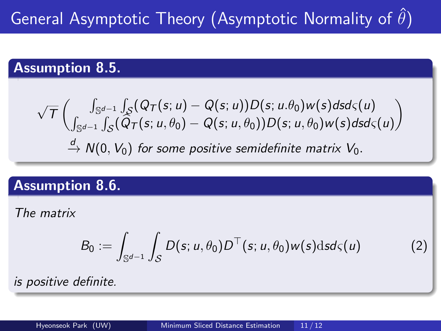# General Asymptotic Theory (Asymptotic Normality of  $\hat{\theta}$ )

#### Assumption 8.5.

$$
\sqrt{T}\begin{pmatrix} \int_{\mathbb{S}^{d-1}} \int_{\mathcal{S}} (Q_{\mathcal{T}}(s; u) - Q(s; u)) D(s; u.\theta_0) w(s) ds d\varsigma(u) \\ \int_{\mathbb{S}^{d-1}} \int_{\mathcal{S}} (\widetilde{Q}_{\mathcal{T}}(s; u, \theta_0) - Q(s; u, \theta_0)) D(s; u, \theta_0) w(s) ds d\varsigma(u) \end{pmatrix}
$$
  
\n
$$
\xrightarrow{d} N(0, V_0) \text{ for some positive semidefinite matrix } V_0.
$$

#### Assumption 8.6.

<span id="page-29-0"></span>The matrix

$$
B_0 := \int_{\mathbb{S}^{d-1}} \int_{\mathcal{S}} D(s; u, \theta_0) D^{\top}(s; u, \theta_0) w(s) \mathrm{d} s d\varsigma(u) \tag{2}
$$

Kantorovich Initiative Retreat March 18, 2022

is positive definite.